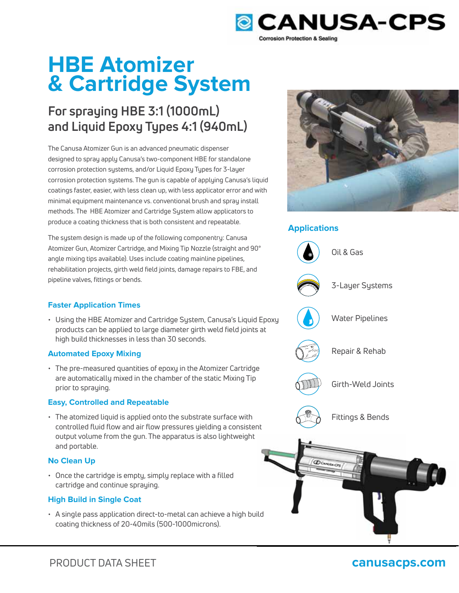

# **HBE Atomizer & Cartridge System**

# **For spraying HBE 3:1 (1000mL) and Liquid Epoxy Types 4:1 (940mL)**

The Canusa Atomizer Gun is an advanced pneumatic dispenser designed to spray apply Canusa's two-component HBE for standalone corrosion protection systems, and/or Liquid Epoxy Types for 3-layer corrosion protection systems. The gun is capable of applying Canusa's liquid coatings faster, easier, with less clean up, with less applicator error and with minimal equipment maintenance vs. conventional brush and spray install methods. The HBE Atomizer and Cartridge System allow applicators to produce a coating thickness that is both consistent and repeatable.

The system design is made up of the following componentry: Canusa Atomizer Gun, Atomizer Cartridge, and Mixing Tip Nozzle (straight and 90° angle mixing tips available). Uses include coating mainline pipelines, rehabilitation projects, girth weld field joints, damage repairs to FBE, and pipeline valves, fittings or bends.



• Using the HBE Atomizer and Cartridge System, Canusa's Liquid Epoxy products can be applied to large diameter girth weld field joints at high build thicknesses in less than 30 seconds.

### **Automated Epoxy Mixing**

• The pre-measured quantities of epoxy in the Atomizer Cartridge are automatically mixed in the chamber of the static Mixing Tip prior to spraying.

### **Easy, Controlled and Repeatable**

• The atomized liquid is applied onto the substrate surface with controlled fluid flow and air flow pressures yielding a consistent output volume from the gun. The apparatus is also lightweight and portable.

### **No Clean Up**

• Once the cartridge is empty, simply replace with a filled cartridge and continue spraying.

### **High Build in Single Coat**

• A single pass application direct-to-metal can achieve a high build coating thickness of 20-40mils (500-1000microns).



### **Applications**



## PRODUCT DATA SHEET **canusacps.com**